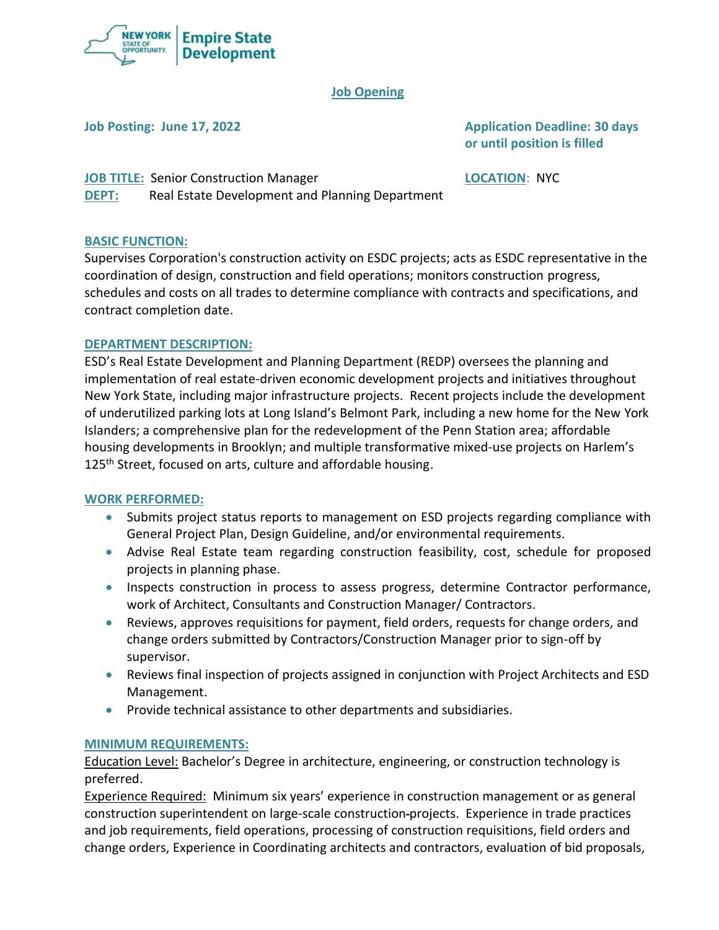

### **Job Opening**

**Job Posting: June 17, 2022 Application Deadline: 30 days or until position is filled**

**JOB TITLE:** Senior Construction Manager **LOCATION**: NYC **DEPT:** Real Estate Development and Planning Department

#### **BASIC FUNCTION:**

Supervises Corporation's construction activity on ESDC projects; acts as ESDC representative in the coordination of design, construction and field operations; monitors construction progress, schedules and costs on all trades to determine compliance with contracts and specifications, and contract completion date.

### **DEPARTMENT DESCRIPTION:**

ESD's Real Estate Development and Planning Department (REDP) oversees the planning and implementation of real estate-driven economic development projects and initiatives throughout New York State, including major infrastructure projects. Recent projects include the development of underutilized parking lots at Long Island's Belmont Park, including a new home for the New York Islanders; a comprehensive plan for the redevelopment of the Penn Station area; affordable housing developments in Brooklyn; and multiple transformative mixed-use projects on Harlem's 125<sup>th</sup> Street, focused on arts, culture and affordable housing.

#### **WORK PERFORMED:**

- Submits project status reports to management on ESD projects regarding compliance with General Project Plan, Design Guideline, and/or environmental requirements.
- Advise Real Estate team regarding construction feasibility, cost, schedule for proposed projects in planning phase.
- Inspects construction in process to assess progress, determine Contractor performance, work of Architect, Consultants and Construction Manager/ Contractors.
- Reviews, approves requisitions for payment, field orders, requests for change orders, and change orders submitted by Contractors/Construction Manager prior to sign-off by supervisor.
- Reviews final inspection of projects assigned in conjunction with Project Architects and ESD Management.
- Provide technical assistance to other departments and subsidiaries.

#### **MINIMUM REQUIREMENTS:**

Education Level: Bachelor's Degree in architecture, engineering, or construction technology is preferred.

Experience Required: Minimum six years' experience in construction management or as general construction superintendent on large-scale construction projects. Experience in trade practices and job requirements, field operations, processing of construction requisitions, field orders and change orders, Experience in Coordinating architects and contractors, evaluation of bid proposals,